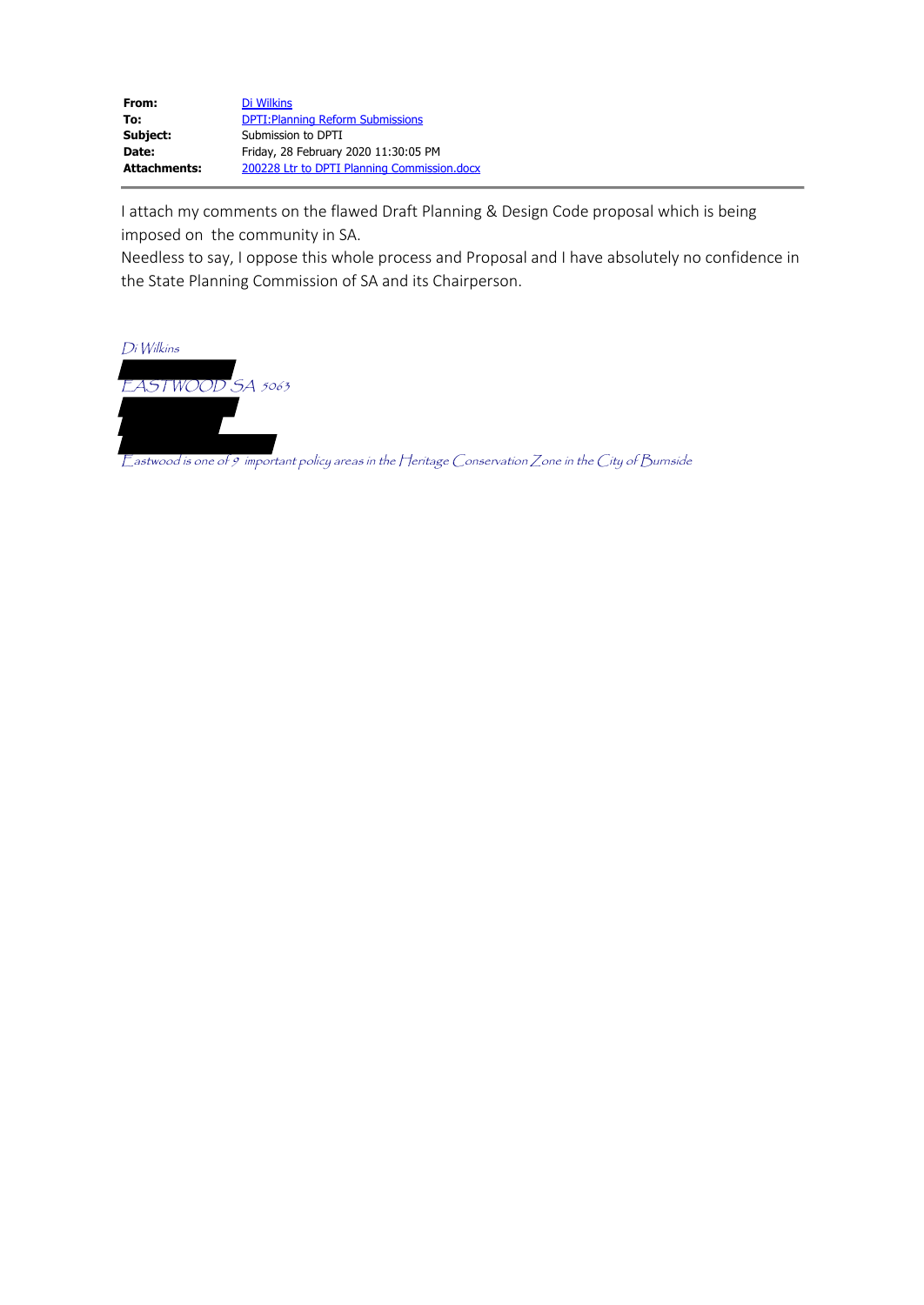| From:        | Di Wilkins                                  |
|--------------|---------------------------------------------|
| To:          | <b>DPTI: Planning Reform Submissions</b>    |
| Subject:     | Submission to DPTI                          |
| Date:        | Friday, 28 February 2020 11:30:05 PM        |
| Attachments: | 200228 Ltr to DPTI Planning Commission.docx |

I attach my comments on the flawed Draft Planning & Design Code proposal which is being imposed on the community in SA.

Needless to say, I oppose this whole process and Proposal and I have absolutely no confidence in the State Planning Commission of SA and its Chairperson.



Eastwood is one of 9 important policy areas in the Heritage Conservation Zone in the City of Burnside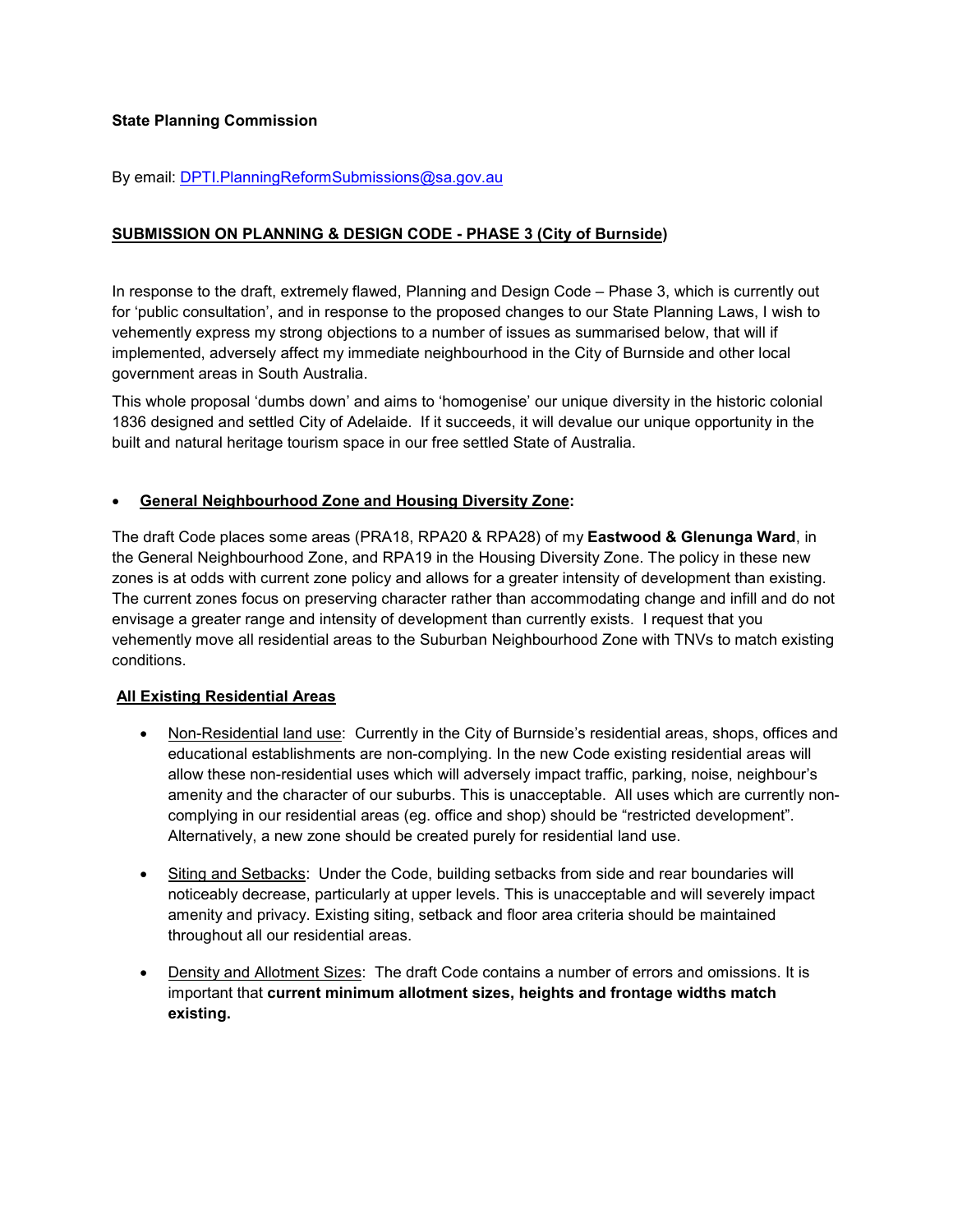# **State Planning Commission**

### By email: DPTI.PlanningReformSubmissions@sa.gov.au

## **SUBMISSION ON PLANNING & DESIGN CODE - PHASE 3 (City of Burnside)**

In response to the draft, extremely flawed, Planning and Design Code – Phase 3, which is currently out for 'public consultation', and in response to the proposed changes to our State Planning Laws, I wish to vehemently express my strong objections to a number of issues as summarised below, that will if implemented, adversely affect my immediate neighbourhood in the City of Burnside and other local government areas in South Australia.

This whole proposal 'dumbs down' and aims to 'homogenise' our unique diversity in the historic colonial 1836 designed and settled City of Adelaide. If it succeeds, it will devalue our unique opportunity in the built and natural heritage tourism space in our free settled State of Australia.

### • **General Neighbourhood Zone and Housing Diversity Zone:**

The draft Code places some areas (PRA18, RPA20 & RPA28) of my **Eastwood & Glenunga Ward**, in the General Neighbourhood Zone, and RPA19 in the Housing Diversity Zone. The policy in these new zones is at odds with current zone policy and allows for a greater intensity of development than existing. The current zones focus on preserving character rather than accommodating change and infill and do not envisage a greater range and intensity of development than currently exists. I request that you vehemently move all residential areas to the Suburban Neighbourhood Zone with TNVs to match existing conditions.

#### **All Existing Residential Areas**

- Non-Residential land use: Currently in the City of Burnside's residential areas, shops, offices and educational establishments are non-complying. In the new Code existing residential areas will allow these non-residential uses which will adversely impact traffic, parking, noise, neighbour's amenity and the character of our suburbs. This is unacceptable. All uses which are currently noncomplying in our residential areas (eg. office and shop) should be "restricted development". Alternatively, a new zone should be created purely for residential land use.
- Siting and Setbacks: Under the Code, building setbacks from side and rear boundaries will noticeably decrease, particularly at upper levels. This is unacceptable and will severely impact amenity and privacy. Existing siting, setback and floor area criteria should be maintained throughout all our residential areas.
- Density and Allotment Sizes: The draft Code contains a number of errors and omissions. It is important that **current minimum allotment sizes, heights and frontage widths match existing.**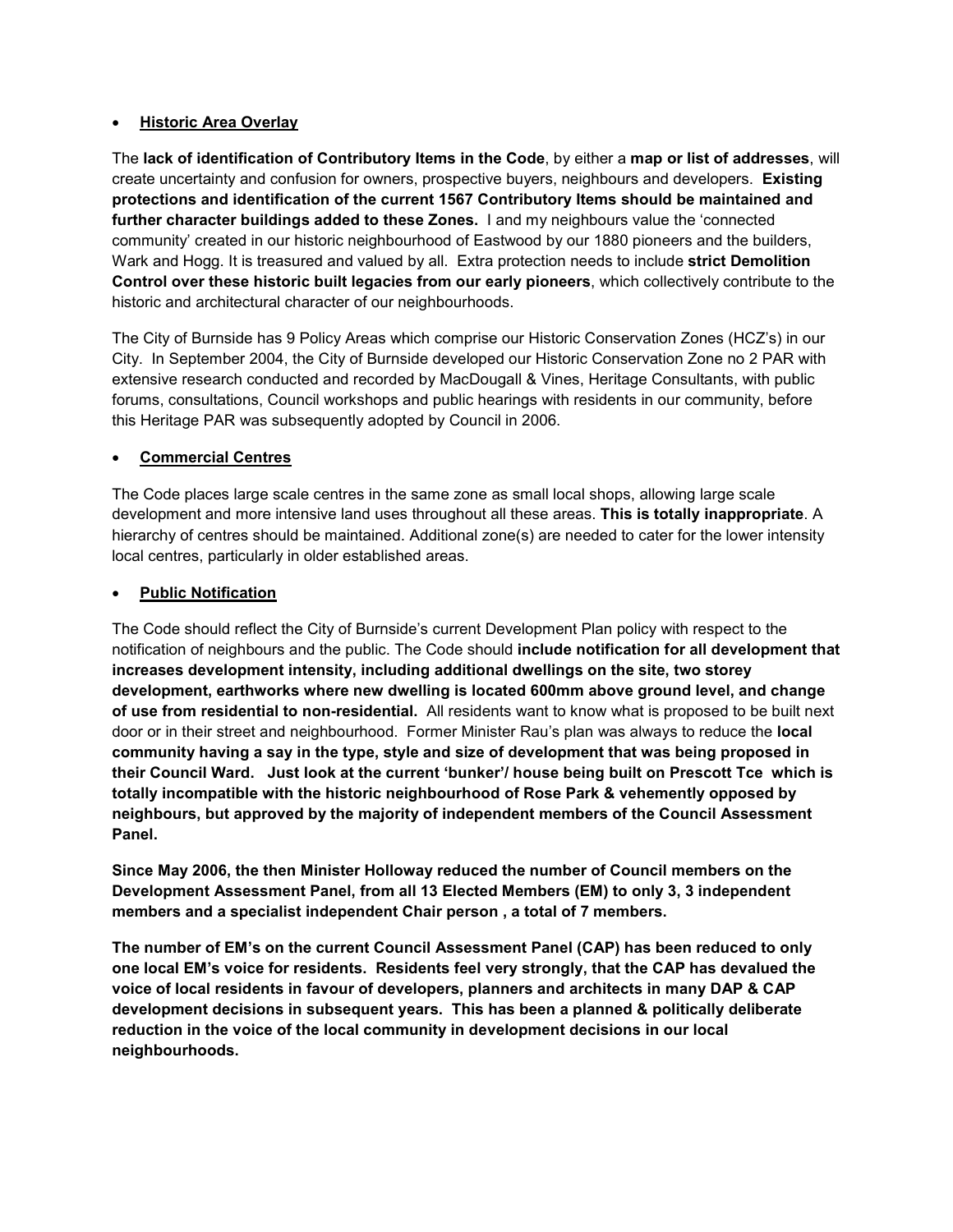## • **Historic Area Overlay**

The **lack of identification of Contributory Items in the Code**, by either a **map or list of addresses**, will create uncertainty and confusion for owners, prospective buyers, neighbours and developers. **Existing protections and identification of the current 1567 Contributory Items should be maintained and further character buildings added to these Zones.** I and my neighbours value the 'connected community' created in our historic neighbourhood of Eastwood by our 1880 pioneers and the builders, Wark and Hogg. It is treasured and valued by all. Extra protection needs to include **strict Demolition Control over these historic built legacies from our early pioneers**, which collectively contribute to the historic and architectural character of our neighbourhoods.

The City of Burnside has 9 Policy Areas which comprise our Historic Conservation Zones (HCZ's) in our City. In September 2004, the City of Burnside developed our Historic Conservation Zone no 2 PAR with extensive research conducted and recorded by MacDougall & Vines, Heritage Consultants, with public forums, consultations, Council workshops and public hearings with residents in our community, before this Heritage PAR was subsequently adopted by Council in 2006.

## • **Commercial Centres**

The Code places large scale centres in the same zone as small local shops, allowing large scale development and more intensive land uses throughout all these areas. **This is totally inappropriate**. A hierarchy of centres should be maintained. Additional zone(s) are needed to cater for the lower intensity local centres, particularly in older established areas.

## • **Public Notification**

The Code should reflect the City of Burnside's current Development Plan policy with respect to the notification of neighbours and the public. The Code should **include notification for all development that increases development intensity, including additional dwellings on the site, two storey development, earthworks where new dwelling is located 600mm above ground level, and change of use from residential to non-residential.** All residents want to know what is proposed to be built next door or in their street and neighbourhood. Former Minister Rau's plan was always to reduce the **local community having a say in the type, style and size of development that was being proposed in their Council Ward. Just look at the current 'bunker'/ house being built on Prescott Tce which is totally incompatible with the historic neighbourhood of Rose Park & vehemently opposed by neighbours, but approved by the majority of independent members of the Council Assessment Panel.** 

**Since May 2006, the then Minister Holloway reduced the number of Council members on the Development Assessment Panel, from all 13 Elected Members (EM) to only 3, 3 independent members and a specialist independent Chair person , a total of 7 members.** 

**The number of EM's on the current Council Assessment Panel (CAP) has been reduced to only one local EM's voice for residents. Residents feel very strongly, that the CAP has devalued the voice of local residents in favour of developers, planners and architects in many DAP & CAP development decisions in subsequent years. This has been a planned & politically deliberate reduction in the voice of the local community in development decisions in our local neighbourhoods.**